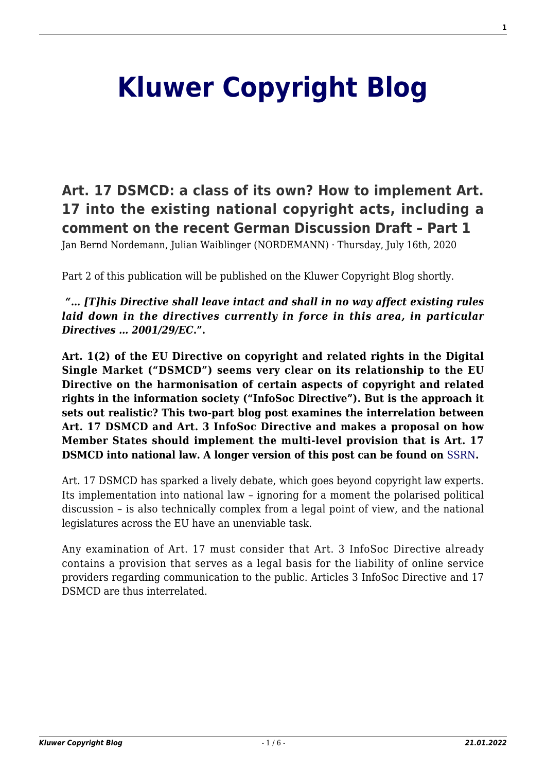# **[Kluwer Copyright Blog](http://copyrightblog.kluweriplaw.com/)**

**[Art. 17 DSMCD: a class of its own? How to implement Art.](http://copyrightblog.kluweriplaw.com/2020/07/16/art-17-dsmcd-a-class-of-its-own-how-to-implement-art-17-into-the-existing-national-copyright-acts-including-a-comment-on-the-recent-german-discussion-draft-part-1/) [17 into the existing national copyright acts, including a](http://copyrightblog.kluweriplaw.com/2020/07/16/art-17-dsmcd-a-class-of-its-own-how-to-implement-art-17-into-the-existing-national-copyright-acts-including-a-comment-on-the-recent-german-discussion-draft-part-1/) [comment on the recent German Discussion Draft – Part 1](http://copyrightblog.kluweriplaw.com/2020/07/16/art-17-dsmcd-a-class-of-its-own-how-to-implement-art-17-into-the-existing-national-copyright-acts-including-a-comment-on-the-recent-german-discussion-draft-part-1/)**

Jan Bernd Nordemann, Julian Waiblinger (NORDEMANN) · Thursday, July 16th, 2020

Part 2 of this publication will be published on the Kluwer Copyright Blog shortly.

*"… [T]his Directive shall leave intact and shall in no way affect existing rules laid down in the directives currently in force in this area, in particular Directives … 2001/29/EC***.".**

**Art. 1(2) of the EU Directive on copyright and related rights in the Digital Single Market ("DSMCD") seems very clear on its relationship to the EU Directive on the harmonisation of certain aspects of copyright and related rights in the information society ("InfoSoc Directive"). But is the approach it sets out realistic? This two-part blog post examines the interrelation between Art. 17 DSMCD and Art. 3 InfoSoc Directive and makes a proposal on how Member States should implement the multi-level provision that is Art. 17 DSMCD into national law. A longer version of this post can be found on** [SSRN](https://papers.ssrn.com/sol3/papers.cfm?abstract_id=3649626)**.**

Art. 17 DSMCD has sparked a lively debate, which goes beyond copyright law experts. Its implementation into national law – ignoring for a moment the polarised political discussion – is also technically complex from a legal point of view, and the national legislatures across the EU have an unenviable task.

Any examination of Art. 17 must consider that Art. 3 InfoSoc Directive already contains a provision that serves as a legal basis for the liability of online service providers regarding communication to the public. Articles 3 InfoSoc Directive and 17 DSMCD are thus interrelated.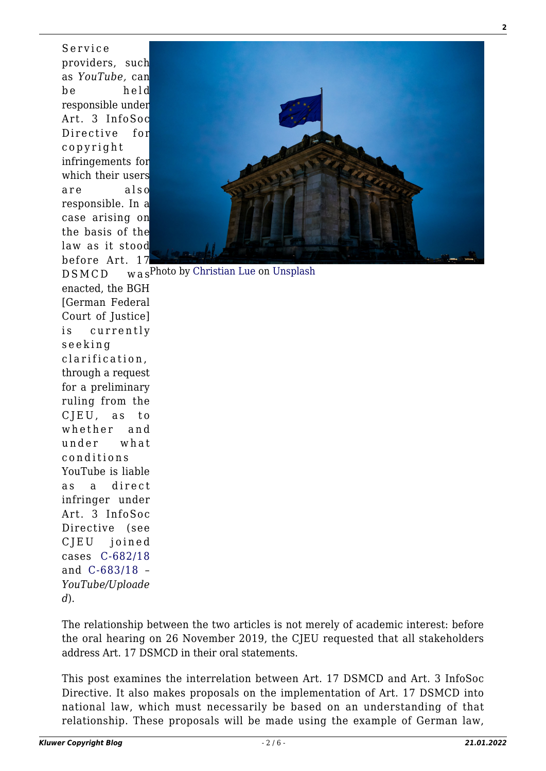providers, such as *YouTube,* can be held responsible under Art. 3 InfoSoc Directive for copyright infringements for which their users are also responsible. In a case arising on the basis of the law as it stood before Art. 17  $DSMCD$ enacted, the BGH [German Federal Court of Justice] is currently seeking clarification, through a request for a preliminary ruling from the CJEU, as to whether and under what conditions YouTube is liable as a direct infringer under Art. 3 InfoSoc Directive (see CJEU joined

Service



wasPhoto by [Christian Lue](https://unsplash.com/@christianlue?utm_source=unsplash&utm_medium=referral&utm_content=creditCopyText) on [Unsplash](https://unsplash.com/?utm_source=unsplash&utm_medium=referral&utm_content=creditCopyText) cases [C-682/18](http://curia.europa.eu/juris/document/document.jsf?text=&docid=211267&pageIndex=0&doclang=EN&mode=lst&dir=&occ=first&part=1&cid=4483415) and [C-683/18](http://curia.europa.eu/juris/document/document.jsf?text=&docid=211268&pageIndex=0&doclang=EN&mode=req&dir=&occ=first&part=1&cid=4483242) –

*YouTube/Uploade d*).

The relationship between the two articles is not merely of academic interest: before the oral hearing on 26 November 2019, the CJEU requested that all stakeholders address Art. 17 DSMCD in their oral statements.

This post examines the interrelation between Art. 17 DSMCD and Art. 3 InfoSoc Directive. It also makes proposals on the implementation of Art. 17 DSMCD into national law, which must necessarily be based on an understanding of that relationship. These proposals will be made using the example of German law,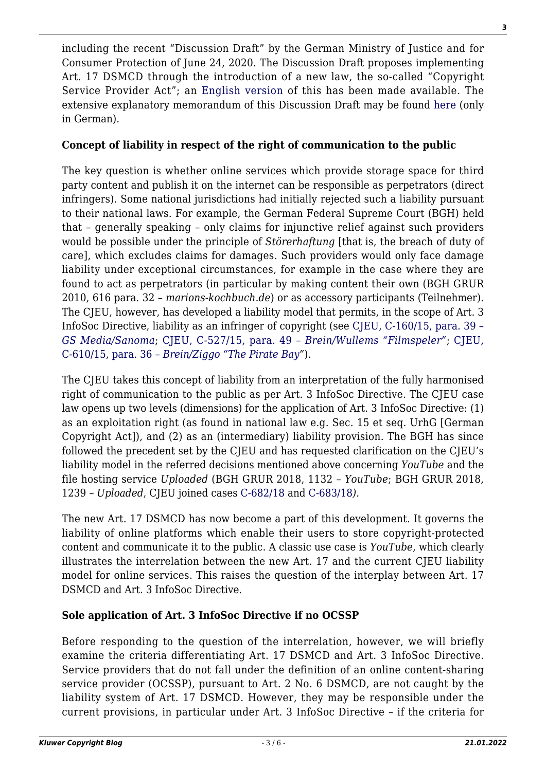including the recent "Discussion Draft" by the German Ministry of Justice and for Consumer Protection of June 24, 2020. The Discussion Draft proposes implementing Art. 17 DSMCD through the introduction of a new law, the so-called "Copyright Service Provider Act"; an [English version](https://www.bmjv.de/SharedDocs/Gesetzgebungsverfahren/Dokumente/DiskE_II_Anpassung%20Urheberrecht_digitaler_Binnenmarkt_englischeInfo.pdf?__blob=publicationFile&v=4) of this has been made available. The extensive explanatory memorandum of this Discussion Draft may be found [here](https://www.bmjv.de/SharedDocs/Gesetzgebungsverfahren/DE/Gesetz_II_Anpassung-Urheberrecht-dig-Binnenmarkt.html?nn=6705022) (only in German).

## **Concept of liability in respect of the right of communication to the public**

The key question is whether online services which provide storage space for third party content and publish it on the internet can be responsible as perpetrators (direct infringers). Some national jurisdictions had initially rejected such a liability pursuant to their national laws. For example, the German Federal Supreme Court (BGH) held that – generally speaking – only claims for injunctive relief against such providers would be possible under the principle of *Störerhaftung* [that is, the breach of duty of care], which excludes claims for damages. Such providers would only face damage liability under exceptional circumstances, for example in the case where they are found to act as perpetrators (in particular by making content their own (BGH GRUR 2010, 616 para. 32 – *marions-kochbuch.de*) or as accessory participants (Teilnehmer). The CJEU, however, has developed a liability model that permits, in the scope of Art. 3 InfoSoc Directive, liability as an infringer of copyright (see [CJEU, C-160/15, para. 39 –](http://curia.europa.eu/juris/document/document.jsf?text=&docid=175626&pageIndex=0&doclang=EN&mode=lst&dir=&occ=first&part=1&cid=9646411) *[GS Media/Sanoma](http://curia.europa.eu/juris/document/document.jsf?text=&docid=175626&pageIndex=0&doclang=EN&mode=lst&dir=&occ=first&part=1&cid=9646411)*; [CJEU, C-527/15, para. 49 –](http://curia.europa.eu/juris/document/document.jsf;jsessionid=4CF204E224754125AB5A8F77A6AC53A3?text=&docid=190142&pageIndex=0&doclang=en&mode=lst&dir=&occ=first&part=1&cid=9610344) *[Brein/Wullems "Filmspeler"](http://curia.europa.eu/juris/document/document.jsf;jsessionid=4CF204E224754125AB5A8F77A6AC53A3?text=&docid=190142&pageIndex=0&doclang=en&mode=lst&dir=&occ=first&part=1&cid=9610344)*; [CJEU,](http://curia.europa.eu/juris/document/document.jsf?text=&docid=191707&pageIndex=0&doclang=EN&mode=lst&dir=&occ=first&part=1&cid=9646507) [C-610/15, para. 36 –](http://curia.europa.eu/juris/document/document.jsf?text=&docid=191707&pageIndex=0&doclang=EN&mode=lst&dir=&occ=first&part=1&cid=9646507) *[Brein/Ziggo "The Pirate Bay"](http://curia.europa.eu/juris/document/document.jsf?text=&docid=191707&pageIndex=0&doclang=EN&mode=lst&dir=&occ=first&part=1&cid=9646507)*).

The CJEU takes this concept of liability from an interpretation of the fully harmonised right of communication to the public as per Art. 3 InfoSoc Directive. The CJEU case law opens up two levels (dimensions) for the application of Art. 3 InfoSoc Directive: (1) as an exploitation right (as found in national law e.g. Sec. 15 et seq. UrhG [German Copyright Act]), and (2) as an (intermediary) liability provision. The BGH has since followed the precedent set by the CJEU and has requested clarification on the CJEU's liability model in the referred decisions mentioned above concerning *YouTube* and the file hosting service *Uploaded* (BGH GRUR 2018, 1132 – *YouTube*; BGH GRUR 2018, 1239 – *Uploaded*, CJEU joined cases [C-682/18](http://curia.europa.eu/juris/document/document.jsf?text=&docid=211267&pageIndex=0&doclang=EN&mode=lst&dir=&occ=first&part=1&cid=4483415) and [C-683/18](http://curia.europa.eu/juris/document/document.jsf?text=&docid=211268&pageIndex=0&doclang=EN&mode=lst&dir=&occ=first&part=1&cid=4483529)*).*

The new Art. 17 DSMCD has now become a part of this development. It governs the liability of online platforms which enable their users to store copyright-protected content and communicate it to the public. A classic use case is *YouTube*, which clearly illustrates the interrelation between the new Art. 17 and the current CJEU liability model for online services. This raises the question of the interplay between Art. 17 DSMCD and Art. 3 InfoSoc Directive.

## **Sole application of Art. 3 InfoSoc Directive if no OCSSP**

Before responding to the question of the interrelation, however, we will briefly examine the criteria differentiating Art. 17 DSMCD and Art. 3 InfoSoc Directive. Service providers that do not fall under the definition of an online content-sharing service provider (OCSSP), pursuant to Art. 2 No. 6 DSMCD, are not caught by the liability system of Art. 17 DSMCD. However, they may be responsible under the current provisions, in particular under Art. 3 InfoSoc Directive – if the criteria for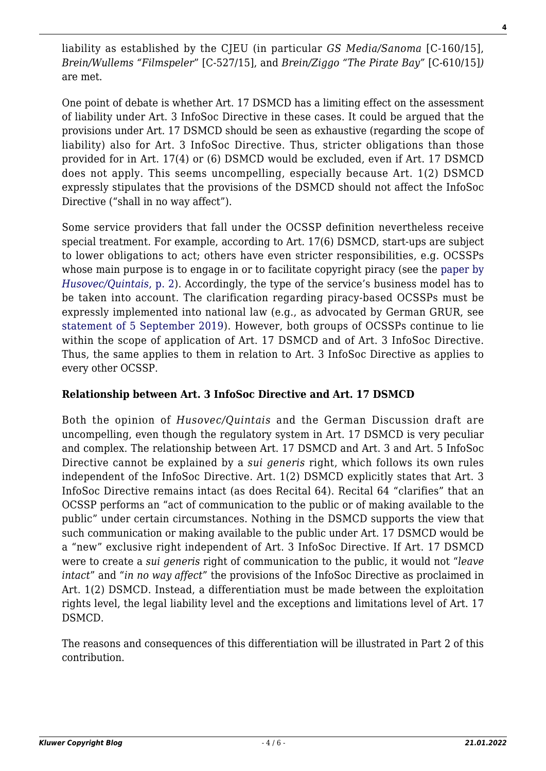liability as established by the CJEU (in particular *GS Media/Sanoma* [C-160/15], *Brein/Wullems "Filmspeler*" [C-527/15], and *Brein/Ziggo "The Pirate Bay"* [C-610/15]*)* are met.

One point of debate is whether Art. 17 DSMCD has a limiting effect on the assessment of liability under Art. 3 InfoSoc Directive in these cases. It could be argued that the provisions under Art. 17 DSMCD should be seen as exhaustive (regarding the scope of liability) also for Art. 3 InfoSoc Directive. Thus, stricter obligations than those provided for in Art. 17(4) or (6) DSMCD would be excluded, even if Art. 17 DSMCD does not apply. This seems uncompelling, especially because Art. 1(2) DSMCD expressly stipulates that the provisions of the DSMCD should not affect the InfoSoc Directive ("shall in no way affect").

Some service providers that fall under the OCSSP definition nevertheless receive special treatment. For example, according to Art. 17(6) DSMCD, start-ups are subject to lower obligations to act; others have even stricter responsibilities, e.g. OCSSPs whose main purpose is to engage in or to facilitate copyright piracy (see the [paper by](https://papers.ssrn.com/sol3/papers.cfm?abstract_id=3463011) *[Husovec/Quintais](https://papers.ssrn.com/sol3/papers.cfm?abstract_id=3463011)*[, p. 2](https://papers.ssrn.com/sol3/papers.cfm?abstract_id=3463011)). Accordingly, the type of the service's business model has to be taken into account. The clarification regarding piracy-based OCSSPs must be expressly implemented into national law (e.g., as advocated by German GRUR, see [statement of 5 September 2019](http://www.grur.org/uploads/tx_gstatement/2019-09-05-GRUR-Stellungnahme_zur_DSM-_und_zur_Online_SatCab-RL_endg.pdf)). However, both groups of OCSSPs continue to lie within the scope of application of Art. 17 DSMCD and of Art. 3 InfoSoc Directive. Thus, the same applies to them in relation to Art. 3 InfoSoc Directive as applies to every other OCSSP.

## **Relationship between Art. 3 InfoSoc Directive and Art. 17 DSMCD**

Both the opinion of *Husovec/Quintais* and the German Discussion draft are uncompelling, even though the regulatory system in Art. 17 DSMCD is very peculiar and complex. The relationship between Art. 17 DSMCD and Art. 3 and Art. 5 InfoSoc Directive cannot be explained by a *sui generis* right, which follows its own rules independent of the InfoSoc Directive. Art. 1(2) DSMCD explicitly states that Art. 3 InfoSoc Directive remains intact (as does Recital 64). Recital 64 "clarifies" that an OCSSP performs an "act of communication to the public or of making available to the public" under certain circumstances. Nothing in the DSMCD supports the view that such communication or making available to the public under Art. 17 DSMCD would be a "new" exclusive right independent of Art. 3 InfoSoc Directive. If Art. 17 DSMCD were to create a *sui generis* right of communication to the public, it would not "*leave intact*" and "*in no way affect*" the provisions of the InfoSoc Directive as proclaimed in Art. 1(2) DSMCD. Instead, a differentiation must be made between the exploitation rights level, the legal liability level and the exceptions and limitations level of Art. 17 DSMCD.

The reasons and consequences of this differentiation will be illustrated in Part 2 of this contribution.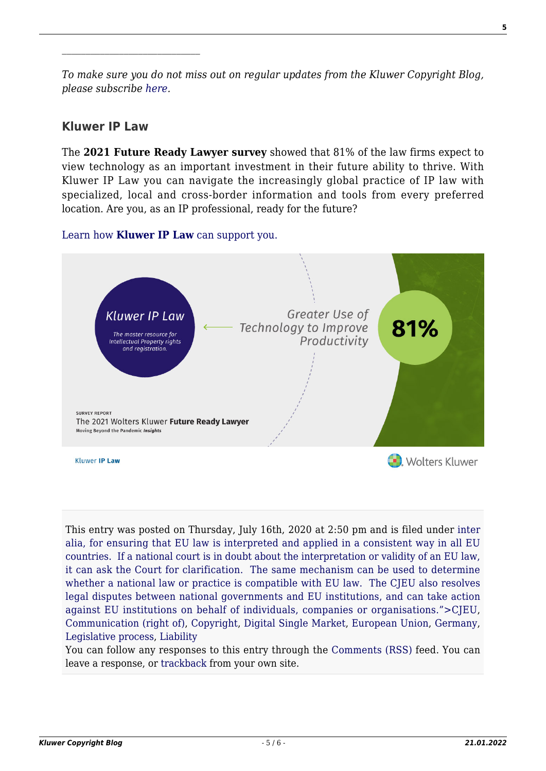*To make sure you do not miss out on regular updates from the Kluwer Copyright Blog, please subscribe [here.](http://copyrightblog.kluweriplaw.com/newsletter)*

#### **Kluwer IP Law**

The **2021 Future Ready Lawyer survey** showed that 81% of the law firms expect to view technology as an important investment in their future ability to thrive. With Kluwer IP Law you can navigate the increasingly global practice of IP law with specialized, local and cross-border information and tools from every preferred location. Are you, as an IP professional, ready for the future?

#### [Learn how](https://www.wolterskluwer.com/en/solutions/kluweriplaw?utm_source=copyrightnblog&utm_medium=articleCTA&utm_campaign=article-banner) **[Kluwer IP Law](https://www.wolterskluwer.com/en/solutions/kluweriplaw?utm_source=copyrightnblog&utm_medium=articleCTA&utm_campaign=article-banner)** [can support you.](https://www.wolterskluwer.com/en/solutions/kluweriplaw?utm_source=copyrightnblog&utm_medium=articleCTA&utm_campaign=article-banner)



This entry was posted on Thursday, July 16th, 2020 at 2:50 pm and is filed under [inter](http://copyrightblog.kluweriplaw.com/category/cjeu/) [alia, for ensuring that EU law is interpreted and applied in a consistent way in all EU](http://copyrightblog.kluweriplaw.com/category/cjeu/) [countries. If a national court is in doubt about the interpretation or validity of an EU law,](http://copyrightblog.kluweriplaw.com/category/cjeu/) [it can ask the Court for clarification. The same mechanism can be used to determine](http://copyrightblog.kluweriplaw.com/category/cjeu/) [whether a national law or practice is compatible with EU law. The CJEU also resolves](http://copyrightblog.kluweriplaw.com/category/cjeu/) [legal disputes between national governments and EU institutions, and can take action](http://copyrightblog.kluweriplaw.com/category/cjeu/) [against EU institutions on behalf of individuals, companies or organisations.">CJEU,](http://copyrightblog.kluweriplaw.com/category/cjeu/) [Communication \(right of\),](http://copyrightblog.kluweriplaw.com/category/communication-right-of/) [Copyright](http://copyrightblog.kluweriplaw.com/category/copyright/), [Digital Single Market,](http://copyrightblog.kluweriplaw.com/category/digital-single-market/) [European Union](http://copyrightblog.kluweriplaw.com/category/jurisdiction-2/european-union/), [Germany,](http://copyrightblog.kluweriplaw.com/category/jurisdiction-2/germany/) [Legislative process,](http://copyrightblog.kluweriplaw.com/category/legislative-process/) [Liability](http://copyrightblog.kluweriplaw.com/category/liability/)

You can follow any responses to this entry through the [Comments \(RSS\)](http://copyrightblog.kluweriplaw.com/comments/feed/) feed. You can leave a response, or [trackback](http://copyrightblog.kluweriplaw.com/2020/07/16/art-17-dsmcd-a-class-of-its-own-how-to-implement-art-17-into-the-existing-national-copyright-acts-including-a-comment-on-the-recent-german-discussion-draft-part-1/trackback/) from your own site.